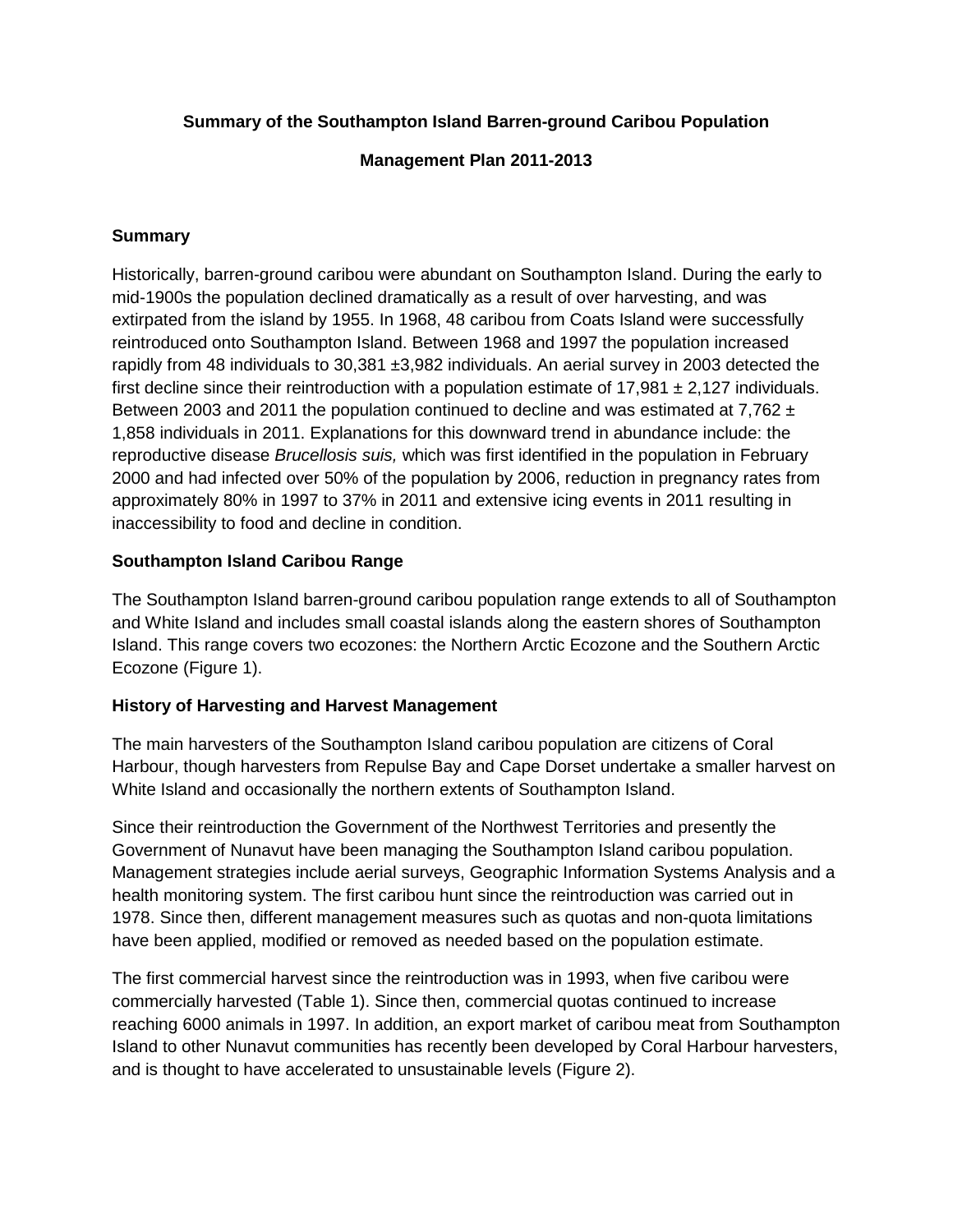## **Summary of the Southampton Island Barren-ground Caribou Population**

**Management Plan 2011-2013**

#### **Summary**

Historically, barren-ground caribou were abundant on Southampton Island. During the early to mid-1900s the population declined dramatically as a result of over harvesting, and was extirpated from the island by 1955. In 1968, 48 caribou from Coats Island were successfully reintroduced onto Southampton Island. Between 1968 and 1997 the population increased rapidly from 48 individuals to 30,381 ±3,982 individuals. An aerial survey in 2003 detected the first decline since their reintroduction with a population estimate of  $17,981 \pm 2,127$  individuals. Between 2003 and 2011 the population continued to decline and was estimated at 7,762  $\pm$ 1,858 individuals in 2011. Explanations for this downward trend in abundance include: the reproductive disease *Brucellosis suis,* which was first identified in the population in February 2000 and had infected over 50% of the population by 2006, reduction in pregnancy rates from approximately 80% in 1997 to 37% in 2011 and extensive icing events in 2011 resulting in inaccessibility to food and decline in condition.

# **Southampton Island Caribou Range**

The Southampton Island barren-ground caribou population range extends to all of Southampton and White Island and includes small coastal islands along the eastern shores of Southampton Island. This range covers two ecozones: the Northern Arctic Ecozone and the Southern Arctic Ecozone (Figure 1).

#### **History of Harvesting and Harvest Management**

The main harvesters of the Southampton Island caribou population are citizens of Coral Harbour, though harvesters from Repulse Bay and Cape Dorset undertake a smaller harvest on White Island and occasionally the northern extents of Southampton Island.

Since their reintroduction the Government of the Northwest Territories and presently the Government of Nunavut have been managing the Southampton Island caribou population. Management strategies include aerial surveys, Geographic Information Systems Analysis and a health monitoring system. The first caribou hunt since the reintroduction was carried out in 1978. Since then, different management measures such as quotas and non-quota limitations have been applied, modified or removed as needed based on the population estimate.

The first commercial harvest since the reintroduction was in 1993, when five caribou were commercially harvested (Table 1). Since then, commercial quotas continued to increase reaching 6000 animals in 1997. In addition, an export market of caribou meat from Southampton Island to other Nunavut communities has recently been developed by Coral Harbour harvesters, and is thought to have accelerated to unsustainable levels (Figure 2).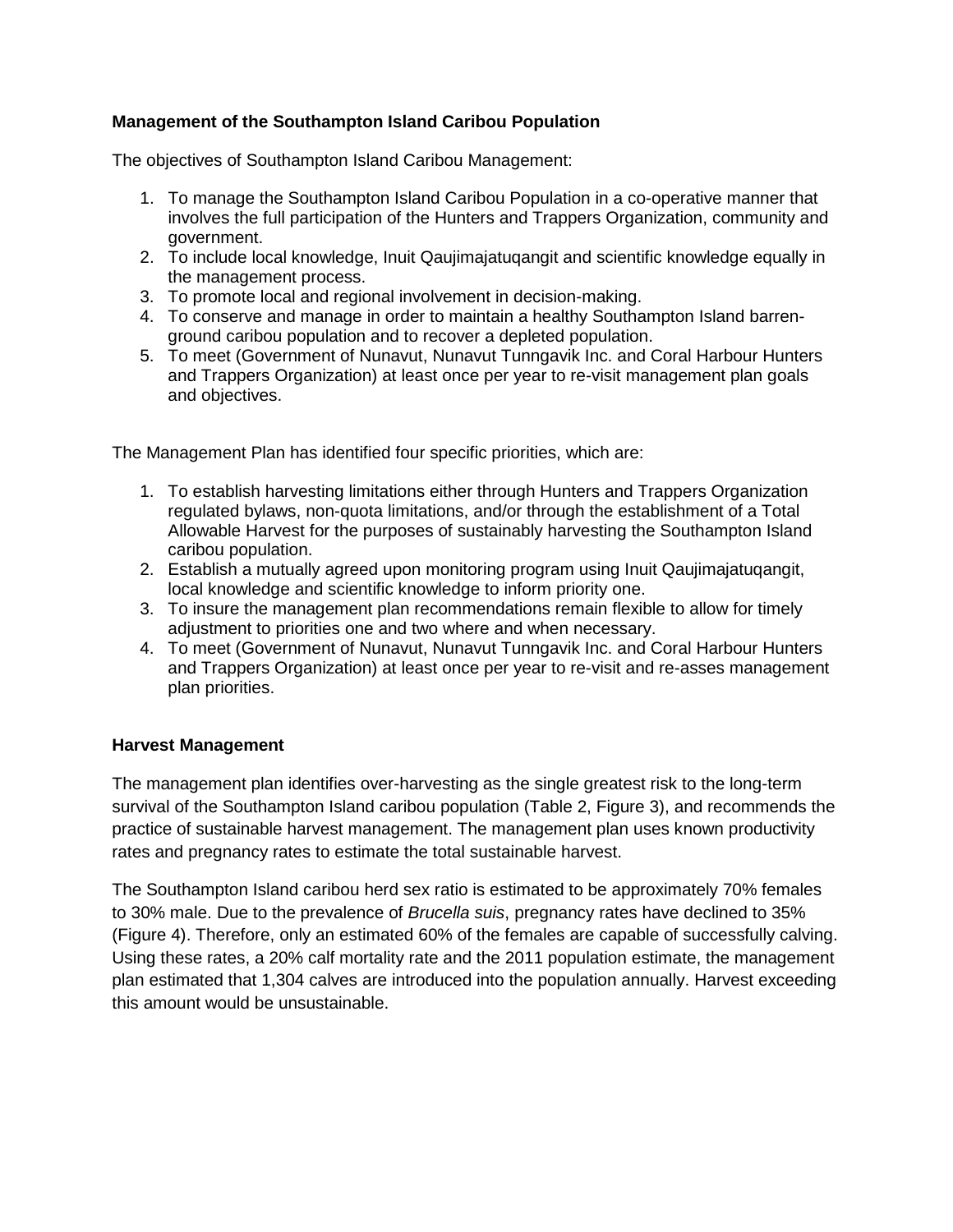# **Management of the Southampton Island Caribou Population**

The objectives of Southampton Island Caribou Management:

- 1. To manage the Southampton Island Caribou Population in a co-operative manner that involves the full participation of the Hunters and Trappers Organization, community and government.
- 2. To include local knowledge, Inuit Qaujimajatuqangit and scientific knowledge equally in the management process.
- 3. To promote local and regional involvement in decision-making.
- 4. To conserve and manage in order to maintain a healthy Southampton Island barrenground caribou population and to recover a depleted population.
- 5. To meet (Government of Nunavut, Nunavut Tunngavik Inc. and Coral Harbour Hunters and Trappers Organization) at least once per year to re-visit management plan goals and objectives.

The Management Plan has identified four specific priorities, which are:

- 1. To establish harvesting limitations either through Hunters and Trappers Organization regulated bylaws, non-quota limitations, and/or through the establishment of a Total Allowable Harvest for the purposes of sustainably harvesting the Southampton Island caribou population.
- 2. Establish a mutually agreed upon monitoring program using Inuit Qaujimajatuqangit, local knowledge and scientific knowledge to inform priority one.
- 3. To insure the management plan recommendations remain flexible to allow for timely adjustment to priorities one and two where and when necessary.
- 4. To meet (Government of Nunavut, Nunavut Tunngavik Inc. and Coral Harbour Hunters and Trappers Organization) at least once per year to re-visit and re-asses management plan priorities.

# **Harvest Management**

The management plan identifies over-harvesting as the single greatest risk to the long-term survival of the Southampton Island caribou population (Table 2, Figure 3), and recommends the practice of sustainable harvest management. The management plan uses known productivity rates and pregnancy rates to estimate the total sustainable harvest.

The Southampton Island caribou herd sex ratio is estimated to be approximately 70% females to 30% male. Due to the prevalence of *Brucella suis*, pregnancy rates have declined to 35% (Figure 4). Therefore, only an estimated 60% of the females are capable of successfully calving. Using these rates, a 20% calf mortality rate and the 2011 population estimate, the management plan estimated that 1,304 calves are introduced into the population annually. Harvest exceeding this amount would be unsustainable.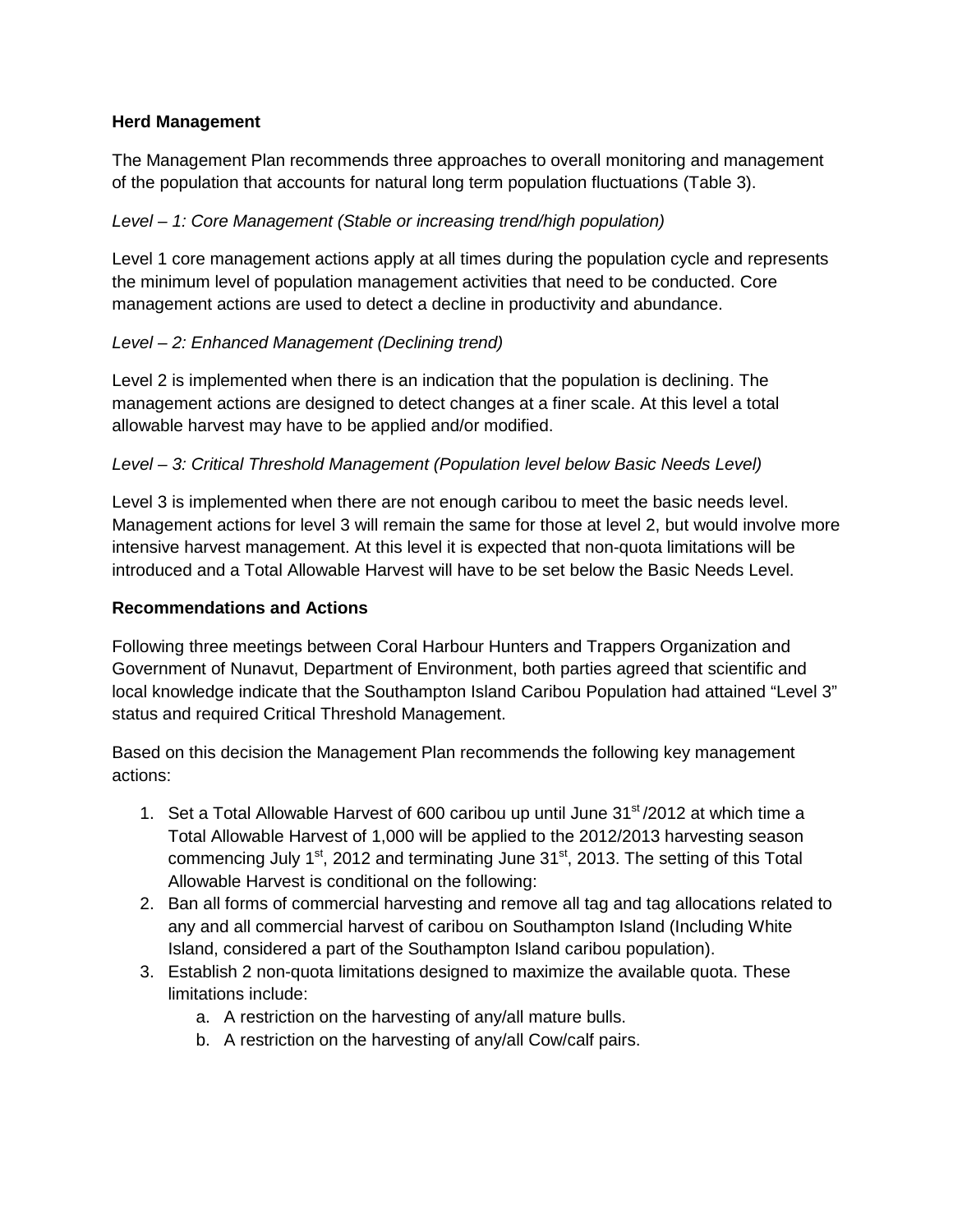# **Herd Management**

The Management Plan recommends three approaches to overall monitoring and management of the population that accounts for natural long term population fluctuations (Table 3).

### *Level – 1: Core Management (Stable or increasing trend/high population)*

Level 1 core management actions apply at all times during the population cycle and represents the minimum level of population management activities that need to be conducted. Core management actions are used to detect a decline in productivity and abundance.

#### *Level – 2: Enhanced Management (Declining trend)*

Level 2 is implemented when there is an indication that the population is declining. The management actions are designed to detect changes at a finer scale. At this level a total allowable harvest may have to be applied and/or modified.

#### *Level – 3: Critical Threshold Management (Population level below Basic Needs Level)*

Level 3 is implemented when there are not enough caribou to meet the basic needs level. Management actions for level 3 will remain the same for those at level 2, but would involve more intensive harvest management. At this level it is expected that non-quota limitations will be introduced and a Total Allowable Harvest will have to be set below the Basic Needs Level.

#### **Recommendations and Actions**

Following three meetings between Coral Harbour Hunters and Trappers Organization and Government of Nunavut, Department of Environment, both parties agreed that scientific and local knowledge indicate that the Southampton Island Caribou Population had attained "Level 3" status and required Critical Threshold Management.

Based on this decision the Management Plan recommends the following key management actions:

- 1. Set a Total Allowable Harvest of 600 caribou up until June 31<sup>st</sup> /2012 at which time a Total Allowable Harvest of 1,000 will be applied to the 2012/2013 harvesting season commencing July  $1<sup>st</sup>$ , 2012 and terminating June 31 $<sup>st</sup>$ , 2013. The setting of this Total</sup> Allowable Harvest is conditional on the following:
- 2. Ban all forms of commercial harvesting and remove all tag and tag allocations related to any and all commercial harvest of caribou on Southampton Island (Including White Island, considered a part of the Southampton Island caribou population).
- 3. Establish 2 non-quota limitations designed to maximize the available quota. These limitations include:
	- a. A restriction on the harvesting of any/all mature bulls.
	- b. A restriction on the harvesting of any/all Cow/calf pairs.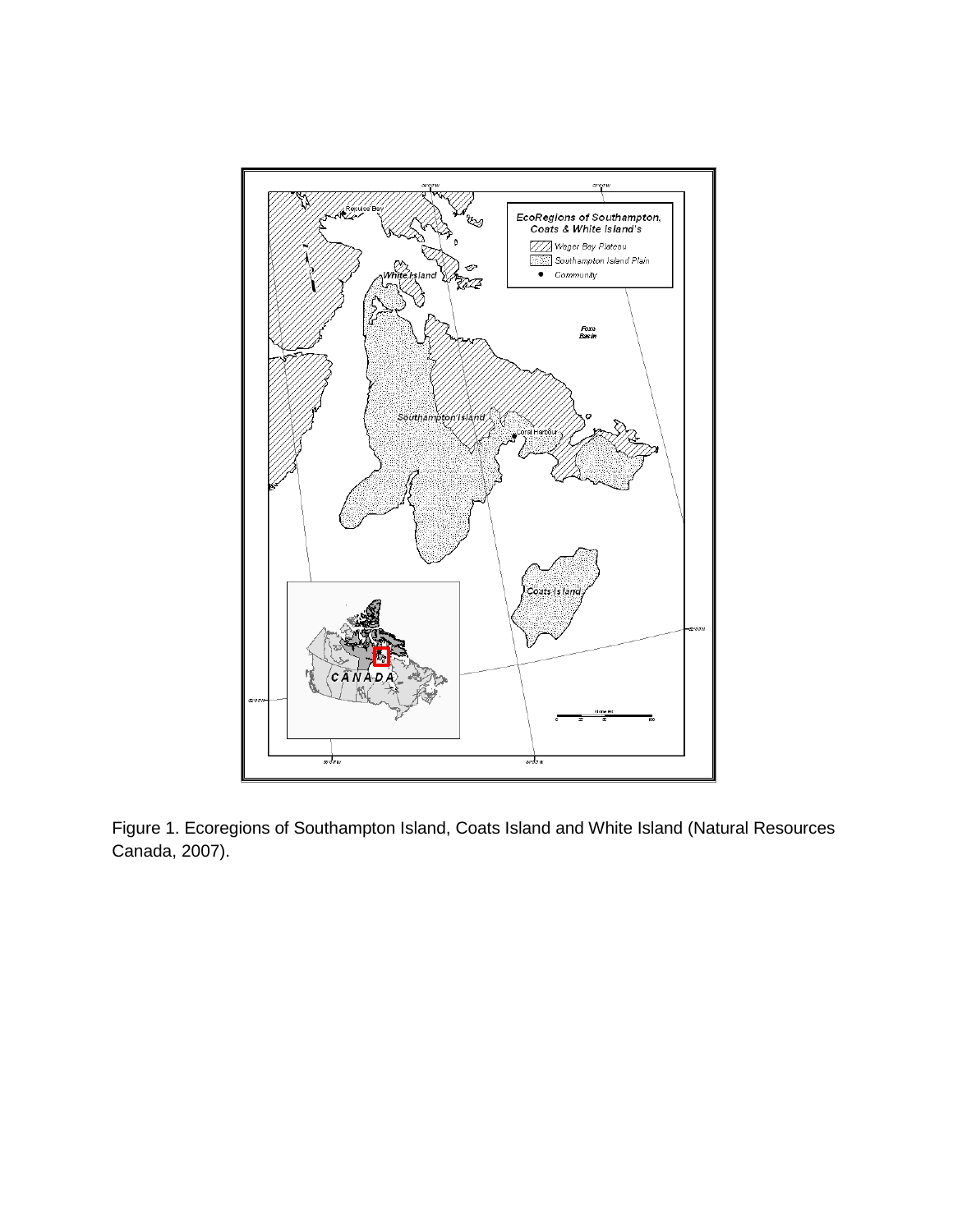

Figure 1. Ecoregions of Southampton Island, Coats Island and White Island (Natural Resources Canada, 2007).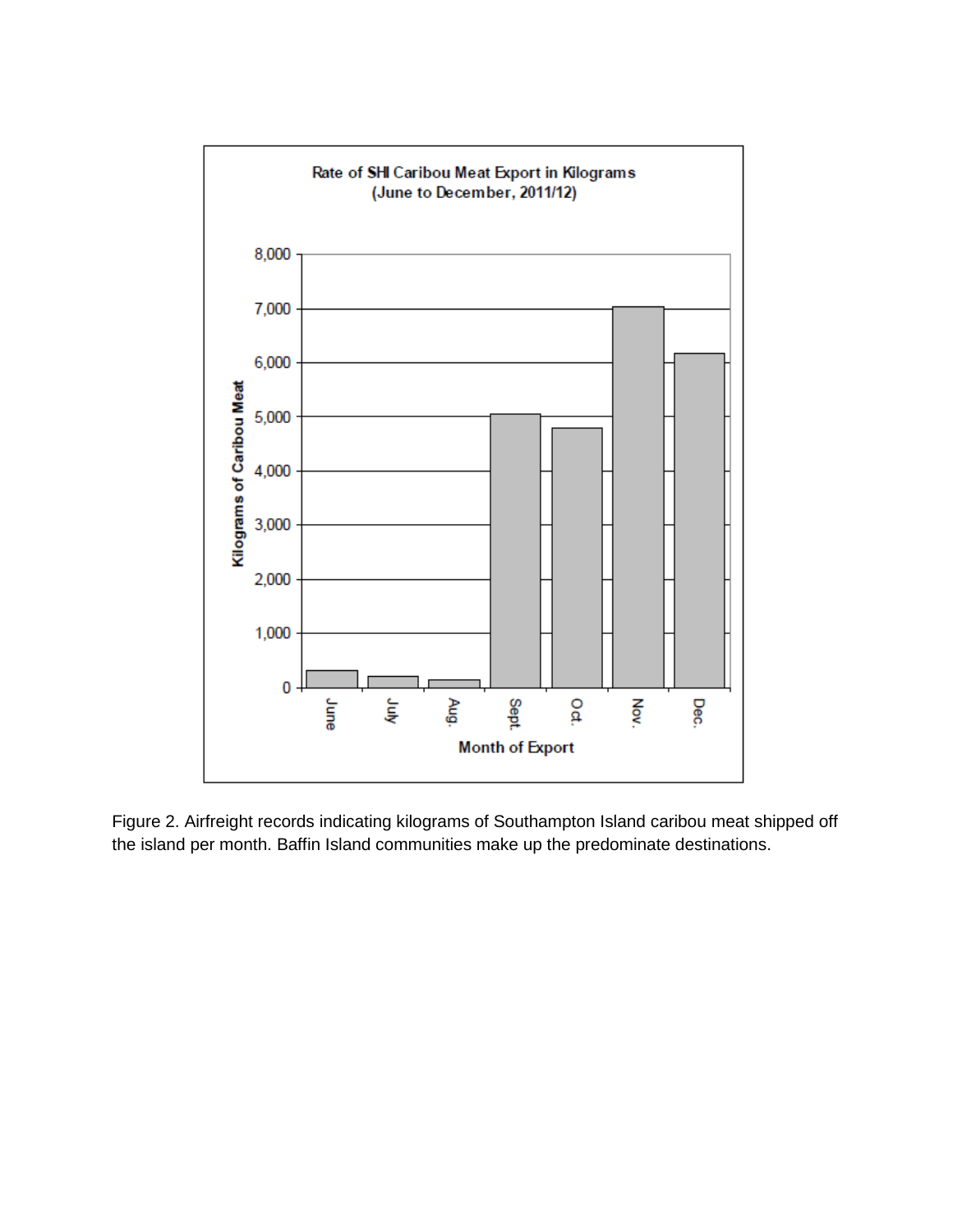

Figure 2. Airfreight records indicating kilograms of Southampton Island caribou meat shipped off the island per month. Baffin Island communities make up the predominate destinations.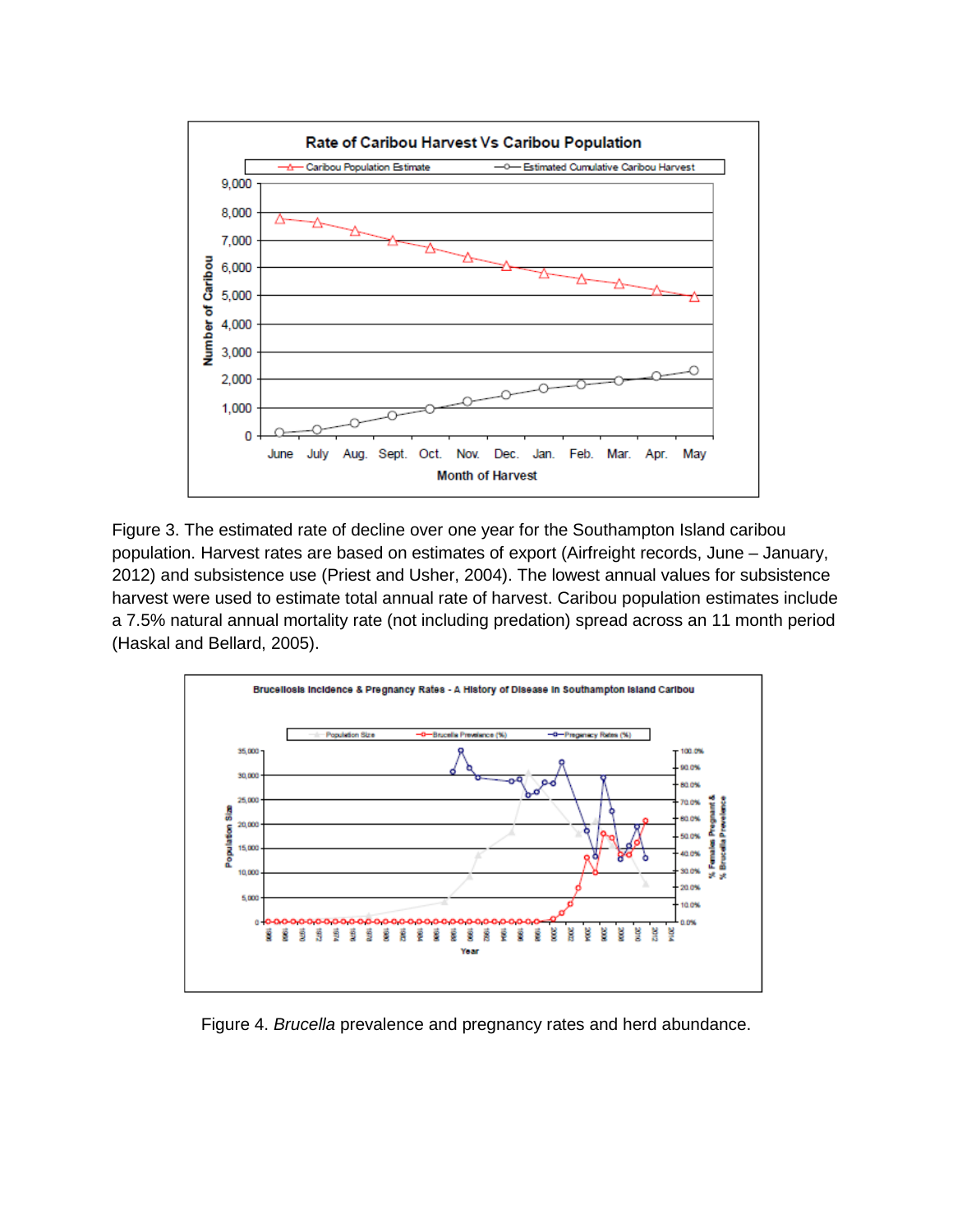

Figure 3. The estimated rate of decline over one year for the Southampton Island caribou population. Harvest rates are based on estimates of export (Airfreight records, June – January, 2012) and subsistence use (Priest and Usher, 2004). The lowest annual values for subsistence harvest were used to estimate total annual rate of harvest. Caribou population estimates include a 7.5% natural annual mortality rate (not including predation) spread across an 11 month period (Haskal and Bellard, 2005).



Figure 4. *Brucella* prevalence and pregnancy rates and herd abundance.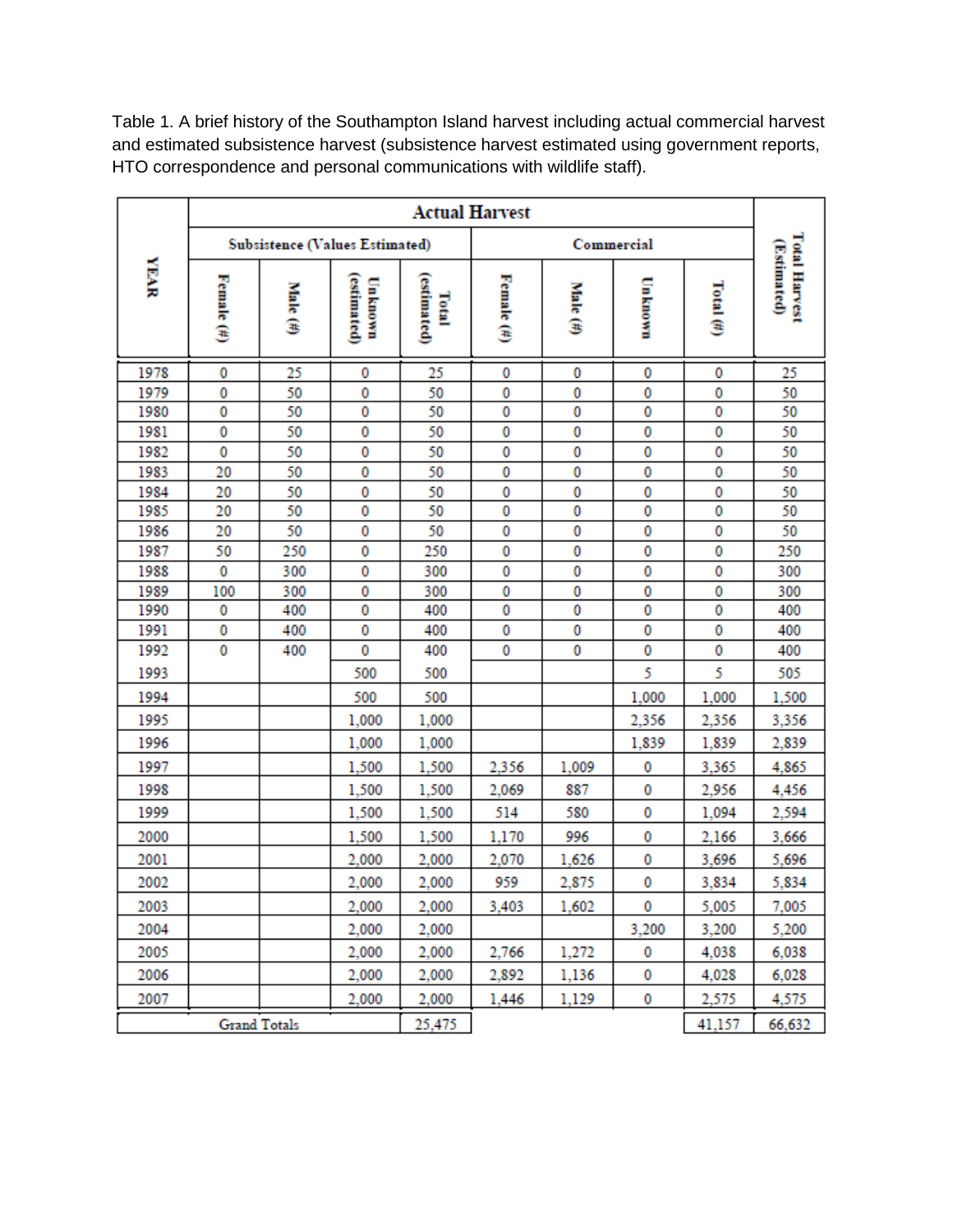Table 1. A brief history of the Southampton Island harvest including actual commercial harvest and estimated subsistence harvest (subsistence harvest estimated using government reports, HTO correspondence and personal communications with wildlife staff).

|                     | <b>Actual Harvest</b>          |                    |                        |                      |               |          |         |              |                                     |
|---------------------|--------------------------------|--------------------|------------------------|----------------------|---------------|----------|---------|--------------|-------------------------------------|
|                     | Subsistence (Values Estimated) |                    |                        |                      | Commercial    |          |         |              |                                     |
| <b>YEAR</b>         | Female $(\#)$                  | Male $(\tilde{n})$ | (estimated)<br>Unknown | (estimated)<br>Total | Female $(\#)$ | Male (#) | Unknown | Total $(\#)$ | <b>Total Harvest</b><br>(Estimated) |
| 1978                | 0                              | 25                 | 0                      | 25                   | 0             | 0        | 0       | 0            | 25                                  |
| 1979                | 0                              | 50                 | 0                      | 50                   | 0             | 0        | 0       | 0            | 50                                  |
| 1980                | 0                              | 50                 | 0                      | 50                   | 0             | 0        | 0       | 0            | 50                                  |
| 1981                | 0                              | 50                 | 0                      | 50                   | 0             | 0        | 0       | 0            | 50                                  |
| 1982                | 0                              | 50                 | 0                      | 50                   | 0             | 0        | 0       | 0            | 50                                  |
| 1983                | 20                             | 50                 | 0                      | 50                   | 0             | 0        | 0       | 0            | 50                                  |
| 1984                | 20                             | 50                 | 0                      | 50                   | 0             | 0        | 0       | 0            | 50                                  |
| 1985                | 20                             | 50                 | 0                      | 50                   | 0             | 0        | 0       | 0            | 50                                  |
| 1986                | 20                             | 50                 | 0                      | 50                   | 0             | 0        | 0       | 0            | 50                                  |
| 1987                | 50                             | 250                | 0                      | 250                  | 0             | 0        | 0       | 0            | 250                                 |
| 1988                | 0                              | 300                | 0                      | 300                  | 0             | 0        | 0       | 0            | 300                                 |
| 1989                | 100<br>0                       | 300                | 0                      | 300<br>400           | 0<br>0        | 0        | 0       | 0            | 300                                 |
| 1990<br>1991        | 0                              | 400<br>400         | 0<br>0                 | 400                  | 0             | 0<br>0   | 0<br>0  | 0<br>0       | 400<br>400                          |
| 1992                | 0                              | 400                | 0                      | 400                  | 0             | 0        | 0       | 0            | 400                                 |
|                     |                                |                    |                        |                      |               |          | 5       | 5            |                                     |
| 1993<br>1994        |                                |                    | 500<br>500             | 500<br>500           |               |          | 1,000   | 1,000        | 505<br>1,500                        |
| 1995                |                                |                    | 1,000                  | 1,000                |               |          | 2,356   | 2,356        | 3,356                               |
| 1996                |                                |                    | 1,000                  | 1,000                |               |          | 1,839   | 1,839        | 2,839                               |
| 1997                |                                |                    | 1,500                  | 1,500                | 2,356         | 1,009    | 0       | 3,365        | 4,865                               |
| 1998                |                                |                    | 1,500                  | 1,500                | 2,069         | 887      | 0       | 2,956        | 4,456                               |
| 1999                |                                |                    | 1,500                  | 1,500                | 514           | 580      | 0       | 1,094        | 2,594                               |
| 2000                |                                |                    | 1,500                  | 1,500                | 1,170         | 996      | 0       | 2,166        | 3,666                               |
| 2001                |                                |                    | 2,000                  | 2,000                | 2,070         | 1,626    | 0       | 3,696        | 5,696                               |
| 2002                |                                |                    | 2,000                  | 2,000                | 959           | 2,875    | 0       | 3,834        | 5,834                               |
| 2003                |                                |                    | 2,000                  | 2,000                | 3,403         | 1,602    | 0       | 5,005        | 7,005                               |
| 2004                |                                |                    | 2,000                  | 2,000                |               |          | 3,200   | 3,200        | 5,200                               |
| 2005                |                                |                    | 2,000                  | 2,000                | 2,766         | 1,272    | 0       | 4,038        | 6,038                               |
| 2006                |                                |                    | 2,000                  | 2,000                | 2,892         | 1,136    | 0       | 4,028        | 6,028                               |
| 2007                |                                |                    | 2,000                  | 2,000                | 1,446         | 1,129    | 0       | 2,575        | 4,575                               |
| <b>Grand Totals</b> |                                |                    | 25,475                 |                      |               |          | 41,157  | 66,632       |                                     |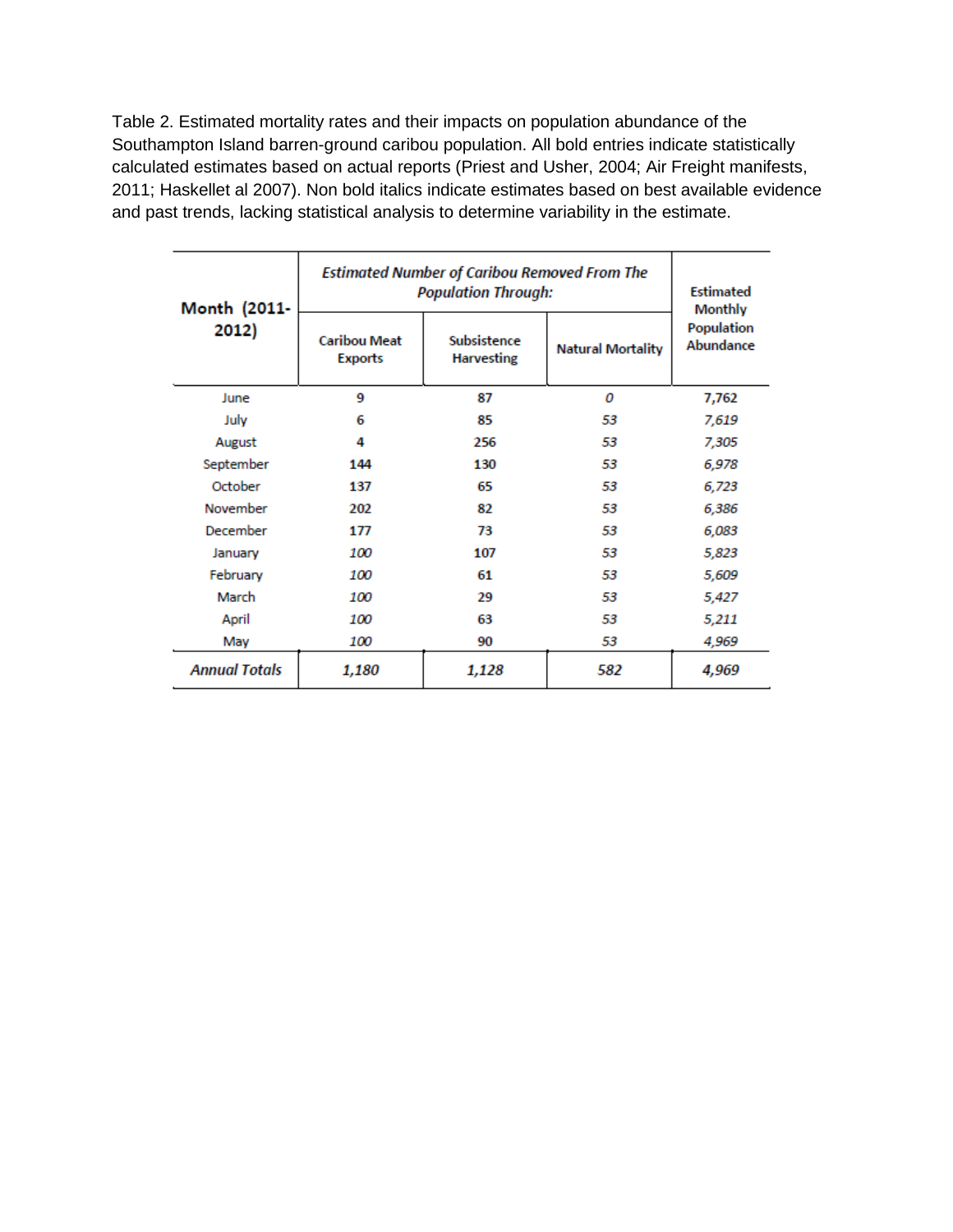Table 2. Estimated mortality rates and their impacts on population abundance of the Southampton Island barren-ground caribou population. All bold entries indicate statistically calculated estimates based on actual reports (Priest and Usher, 2004; Air Freight manifests, 2011; Haskellet al 2007). Non bold italics indicate estimates based on best available evidence and past trends, lacking statistical analysis to determine variability in the estimate.

| Month (2011-         | <b>Estimated Number of Caribou Removed From The</b><br><b>Population Through:</b> | <b>Estimated</b><br><b>Monthly</b> |                          |                         |  |
|----------------------|-----------------------------------------------------------------------------------|------------------------------------|--------------------------|-------------------------|--|
| 2012)                | <b>Caribou Meat</b><br><b>Exports</b>                                             | Subsistence<br><b>Harvesting</b>   | <b>Natural Mortality</b> | Population<br>Abundance |  |
| June                 | 9                                                                                 | 87                                 | 0                        | 7,762                   |  |
| July                 | 6                                                                                 | 85                                 | 53                       | 7,619                   |  |
| August               | 4                                                                                 | 256                                | 53                       | 7,305                   |  |
| September            | 144                                                                               | 130                                | 53                       | 6,978                   |  |
| October              | 137                                                                               | 65                                 | 53                       | 6,723                   |  |
| November             | 202                                                                               | 82                                 | 53                       | 6,386                   |  |
| December             | 177                                                                               | 73                                 | 53                       | 6,083                   |  |
| January              | 100                                                                               | 107                                | 53                       | 5,823                   |  |
| February             | 100                                                                               | 61                                 | 53                       | 5,609                   |  |
| March                | 100                                                                               | 29                                 | 53                       | 5,427                   |  |
| April                | 100                                                                               |                                    | 53                       | 5,211                   |  |
| May                  | 100                                                                               | 90                                 | 53                       | 4,969                   |  |
| <b>Annual Totals</b> | 1,180                                                                             | 1,128                              | 582                      | 4,969                   |  |